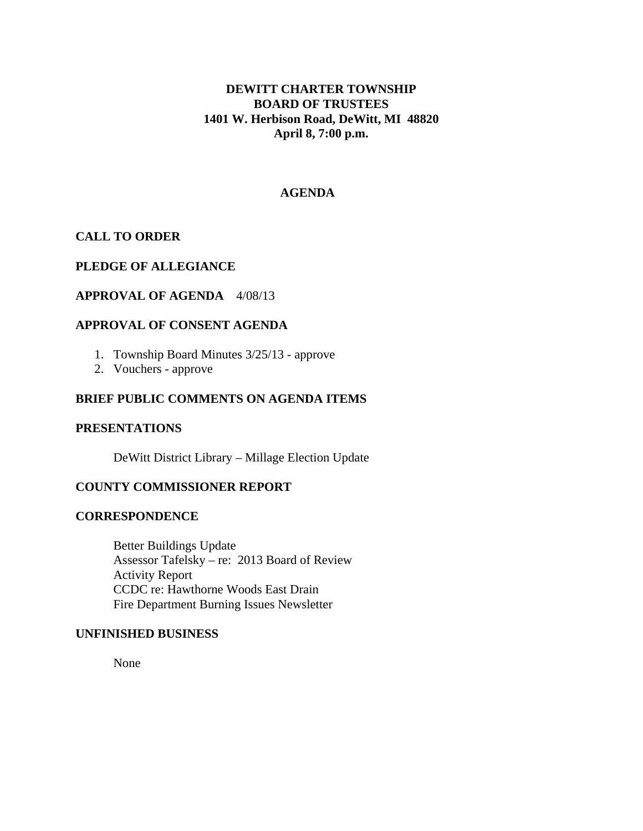# **DEWITT CHARTER TOWNSHIP BOARD OF TRUSTEES 1401 W. Herbison Road, DeWitt, MI 48820 April 8, 7:00 p.m.**

### **AGENDA**

# **CALL TO ORDER**

### **PLEDGE OF ALLEGIANCE**

# **APPROVAL OF AGENDA** 4/08/13

## **APPROVAL OF CONSENT AGENDA**

- 1. Township Board Minutes 3/25/13 approve
- 2. Vouchers approve

## **BRIEF PUBLIC COMMENTS ON AGENDA ITEMS**

#### **PRESENTATIONS**

DeWitt District Library – Millage Election Update

## **COUNTY COMMISSIONER REPORT**

### **CORRESPONDENCE**

 Better Buildings Update Assessor Tafelsky – re: 2013 Board of Review Activity Report CCDC re: Hawthorne Woods East Drain Fire Department Burning Issues Newsletter

#### **UNFINISHED BUSINESS**

None